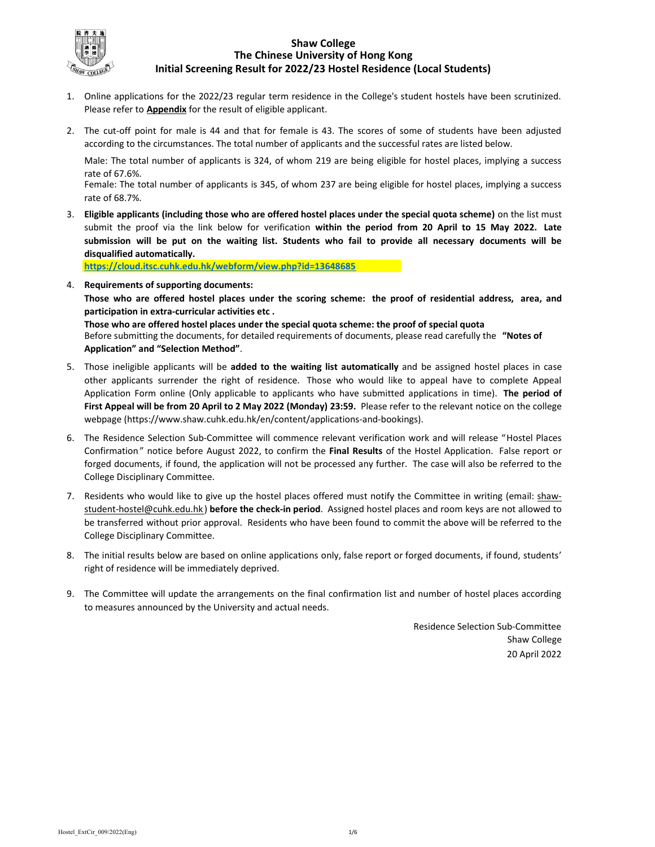

# Shaw College The Chinese University of Hong Kong Initial Screening Result for 2022/23 Hostel Residence (Local Students)

- 1. Online applications for the 2022/23 regular term residence in the College's student hostels have been scrutinized. Please refer to **Appendix** for the result of eligible applicant.
- 2. The cut-off point for male is 44 and that for female is 43. The scores of some of students have been adjusted according to the circumstances. The total number of applicants and the successful rates are listed below.

Male: The total number of applicants is 324, of whom 219 are being eligible for hostel places, implying a success rate of 67.6%.

Female: The total number of applicants is 345, of whom 237 are being eligible for hostel places, implying a success rate of 68.7%.

3. Eligible applicants (including those who are offered hostel places under the special quota scheme) on the list must submit the proof via the link below for verification within the period from 20 April to 15 May 2022. Late submission will be put on the waiting list. Students who fail to provide all necessary documents will be disqualified automatically.

https://cloud.itsc.cuhk.edu.hk/webform/view.php?id=13648685

webpage (https://www.shaw.cuhk.edu.hk/en/content/applications-and-bookings).

- 4. Requirements of supporting documents: Before submitting the documents, for detailed requirements of documents, please read carefully the "Notes of Those who are offered hostel places under the scoring scheme: the proof of residential address, area, and participation in extra-curricular activities etc . Those who are offered hostel places under the special quota scheme: the proof of special quota
- 5. Those ineligible applicants will be added to the waiting list automatically and be assigned hostel places in case Application" and "Selection Method". other applicants surrender the right of residence. Those who would like to appeal have to complete Appeal Application Form online (Only applicable to applicants who have submitted applications in time). The period of First Appeal will be from 20 April to 2 May 2022 (Monday) 23:59. Please refer to the relevant notice on the college
- 6. The Residence Selection Sub-Committee will commence relevant verification work and will release "Hostel Places Confirmation " notice before August 2022, to confirm the Final Results of the Hostel Application. False report or forged documents, if found, the application will not be processed any further. The case will also be referred to the College Disciplinary Committee.
- 7. Residents who would like to give up the hostel places offered must notify the Committee in writing (email: shawstudent-hostel@cuhk.edu.hk) before the check-in period. Assigned hostel places and room keys are not allowed to be transferred without prior approval. Residents who have been found to commit the above will be referred to the College Disciplinary Committee.
- 8. The initial results below are based on online applications only, false report or forged documents, if found, students' right of residence will be immediately deprived.
- 9. The Committee will update the arrangements on the final confirmation list and number of hostel places according to measures announced by the University and actual needs.

Residence Selection Sub-Committee Shaw College 20 April 2022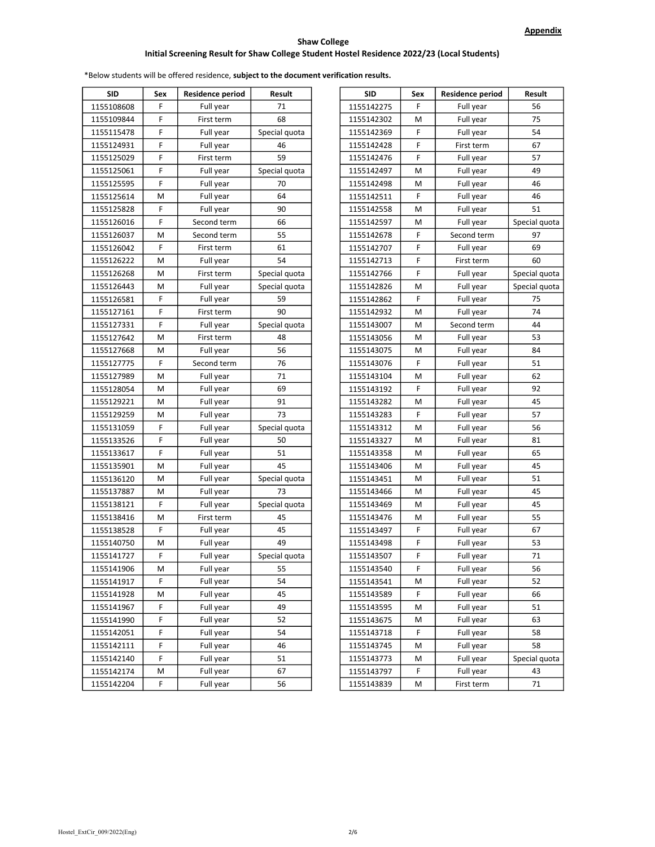| <b>SID</b> | Sex | Residence period | Result        | <b>SID</b> | Sex | <b>Residence period</b> | Result        |
|------------|-----|------------------|---------------|------------|-----|-------------------------|---------------|
| 1155108608 | F   | Full year        | 71            | 1155142275 | F   | Full year               |               |
| 1155109844 | F   | First term       | 68            | 1155142302 | M   | Full year               |               |
| 1155115478 | F   | Full year        | Special quota | 1155142369 | F   | Full year               |               |
| 1155124931 | F   | Full year        | 46            | 1155142428 | F   | First term              |               |
| 1155125029 | F   | First term       | 59            | 1155142476 | F   | Full year               |               |
| 1155125061 | F   | Full year        | Special quota | 1155142497 | M   | Full year               |               |
| 1155125595 | F   | Full year        | 70            | 1155142498 | M   | Full year               |               |
| 1155125614 | М   | Full year        | 64            | 1155142511 | F   | Full year               |               |
| 1155125828 | F   | Full year        | 90            | 1155142558 | M   | Full year               |               |
| 1155126016 | F   | Second term      | 66            | 1155142597 | M   | Full year               | Special quota |
| 1155126037 | М   | Second term      | 55            | 1155142678 | F   | Second term             |               |
| 1155126042 | F   | First term       | 61            | 1155142707 | F   | Full year               |               |
| 1155126222 | М   | Full year        | 54            | 1155142713 | F   | First term              |               |
| 1155126268 | М   | First term       | Special quota | 1155142766 | F   | Full year               | Special quota |
| 1155126443 | М   | Full year        | Special quota | 1155142826 | M   | Full year               | Special quota |
| 1155126581 | F   | Full year        | 59            | 1155142862 | F   | Full year               |               |
| 1155127161 | F   | First term       | 90            | 1155142932 | M   | Full year               |               |
| 1155127331 | F   | Full year        | Special quota | 1155143007 | M   | Second term             |               |
| 1155127642 | М   | First term       | 48            | 1155143056 | M   | Full year               |               |
| 1155127668 | М   | Full year        | 56            | 1155143075 | M   | Full year               |               |
| 1155127775 | F   | Second term      | 76            | 1155143076 | F   | Full year               |               |
| 1155127989 | М   | Full year        | 71            | 1155143104 | M   | Full year               |               |
| 1155128054 | М   | Full year        | 69            | 1155143192 | F   | Full year               |               |
| 1155129221 | М   | Full year        | 91            | 1155143282 | M   | Full year               |               |
| 1155129259 | М   | Full year        | 73            | 1155143283 | F   | Full year               |               |
| 1155131059 | F   | Full year        | Special quota | 1155143312 | M   | Full year               |               |
| 1155133526 | F   | Full year        | 50            | 1155143327 | M   | Full year               |               |
| 1155133617 | F   | Full year        | 51            | 1155143358 | M   | Full year               |               |
| 1155135901 | М   | Full year        | 45            | 1155143406 | M   | Full year               |               |
| 1155136120 | М   | Full year        | Special quota | 1155143451 | M   | Full year               |               |
| 1155137887 | М   | Full year        | 73            | 1155143466 | M   | Full year               |               |
| 1155138121 | F   | Full year        | Special quota | 1155143469 | M   | Full year               |               |
| 1155138416 | М   | First term       | 45            | 1155143476 | M   | Full year               |               |
| 1155138528 | F   | Full year        | 45            | 1155143497 | F   | Full year               |               |
| 1155140750 | М   | Full year        | 49            | 1155143498 | F   | Full year               |               |
| 1155141727 | F   | Full year        | Special quota | 1155143507 | F   | Full year               |               |
| 1155141906 | м   | Full year        | 55            | 1155143540 | F   | Full year               |               |
| 1155141917 | F   | Full year        | 54            | 1155143541 | М   | Full year               |               |
| 1155141928 | м   | Full year        | 45            | 1155143589 | F   | Full year               |               |
| 1155141967 | F   | Full year        | 49            | 1155143595 | М   | Full year               |               |
| 1155141990 | F   | Full year        | 52            | 1155143675 | М   | Full year               |               |
| 1155142051 | F   | Full year        | 54            | 1155143718 | F   | Full year               |               |
| 1155142111 | F   | Full year        | 46            | 1155143745 | М   | Full year               |               |
| 1155142140 | F   | Full year        | 51            | 1155143773 | М   | Full year               | Special quota |
| 1155142174 | М   | Full year        | 67            | 1155143797 | F   | Full year               |               |
| 1155142204 | F   | Full vear        | 56            | 1155143839 | M   | First term              |               |

| <b>SID</b> | Sex | Residence period | Result        | SID        | Sex | <b>Residence period</b> | Result        |
|------------|-----|------------------|---------------|------------|-----|-------------------------|---------------|
| 1155108608 | F   | Full year        | 71            | 1155142275 | F   | Full year               | 56            |
| 1155109844 | F   | First term       | 68            | 1155142302 | M   | Full year               | 75            |
| 1155115478 | F   | Full year        | Special quota | 1155142369 | F   | Full year               | 54            |
| 1155124931 | F   | Full year        | 46            | 1155142428 | F   | First term              | 67            |
| 1155125029 | F   | First term       | 59            | 1155142476 | F   | Full year               | 57            |
| 1155125061 | F   | Full year        | Special quota | 1155142497 | M   | Full year               | 49            |
| 1155125595 | F   | Full year        | 70            | 1155142498 | M   | Full year               | 46            |
| 1155125614 | М   | Full year        | 64            | 1155142511 | F   | Full year               | 46            |
| 1155125828 | F   | Full year        | 90            | 1155142558 | M   | Full year               | 51            |
| 1155126016 | F   | Second term      | 66            | 1155142597 | M   | Full year               | Special quota |
| 1155126037 | м   | Second term      | 55            | 1155142678 | F   | Second term             | 97            |
| 1155126042 | F   | First term       | 61            | 1155142707 | F   | Full year               | 69            |
| 1155126222 | М   | Full year        | 54            | 1155142713 | F   | First term              | 60            |
| 1155126268 | м   | First term       | Special quota | 1155142766 | F   | Full year               | Special quota |
| 1155126443 | м   | Full year        | Special quota | 1155142826 | M   | Full year               | Special quota |
| 1155126581 | F   | Full year        | 59            | 1155142862 | F   | Full year               | 75            |
| 1155127161 | F   | First term       | 90            | 1155142932 | M   | Full year               | 74            |
| 1155127331 | F   | Full year        | Special quota | 1155143007 | M   | Second term             | 44            |
| 1155127642 | м   | First term       | 48            | 1155143056 | M   | Full year               | 53            |
| 1155127668 | м   | Full year        | 56            | 1155143075 | M   | Full year               | 84            |
| 1155127775 | F   | Second term      | 76            | 1155143076 | F   | Full year               | 51            |
| 1155127989 | м   | Full year        | 71            | 1155143104 | M   | Full year               | 62            |
| 1155128054 | м   | Full year        | 69            | 1155143192 | F   | Full year               | 92            |
| 1155129221 | м   | Full year        | 91            | 1155143282 | M   | Full year               | 45            |
| 1155129259 | м   | Full year        | 73            | 1155143283 | F   | Full year               | 57            |
| 1155131059 | F   | Full year        | Special quota | 1155143312 | M   | Full year               | 56            |
| 1155133526 | F   | Full year        | 50            | 1155143327 | м   | Full year               | 81            |
| 1155133617 | F   | Full year        | 51            | 1155143358 | м   | Full year               | 65            |
| 1155135901 | м   | Full year        | 45            | 1155143406 | м   | Full year               | 45            |
| 1155136120 | м   | Full year        | Special quota | 1155143451 | м   | Full year               | 51            |
| 1155137887 | м   | Full year        | 73            | 1155143466 | м   | Full year               | 45            |
| 1155138121 | F   | Full year        | Special quota | 1155143469 | м   | Full year               | 45            |
| 1155138416 | М   | First term       | 45            | 1155143476 | M   | Full year               | 55            |
| 1155138528 | F   | Full year        | 45            | 1155143497 | F   | Full year               | 67            |
| 1155140750 | М   | Full year        | 49            | 1155143498 | F   | Full year               | 53            |
| 1155141727 | F   | Full year        | Special quota | 1155143507 | F   | Full year               | 71            |
| 1155141906 | М   | Full year        | 55            | 1155143540 | F   | Full year               | 56            |
| 1155141917 | F   | Full year        | 54            | 1155143541 | М   | Full year               | 52            |
| 1155141928 | М   | Full year        | 45            | 1155143589 | F   | Full year               | 66            |
| 1155141967 | F   | Full year        | 49            | 1155143595 | М   | Full year               | 51            |
| 1155141990 | F   | Full year        | 52            | 1155143675 | М   | Full year               | 63            |
| 1155142051 | F   | Full year        | 54            | 1155143718 | F   | Full year               | 58            |
| 1155142111 | F   | Full year        | 46            | 1155143745 | М   | Full year               | 58            |
| 1155142140 | F   | Full year        | 51            | 1155143773 | М   | Full year               | Special quota |
| 1155142174 | М   | Full year        | 67            | 1155143797 | F   | Full year               | 43            |
| 1155142204 | F   | Full year        | 56            | 1155143839 | М   | First term              | 71            |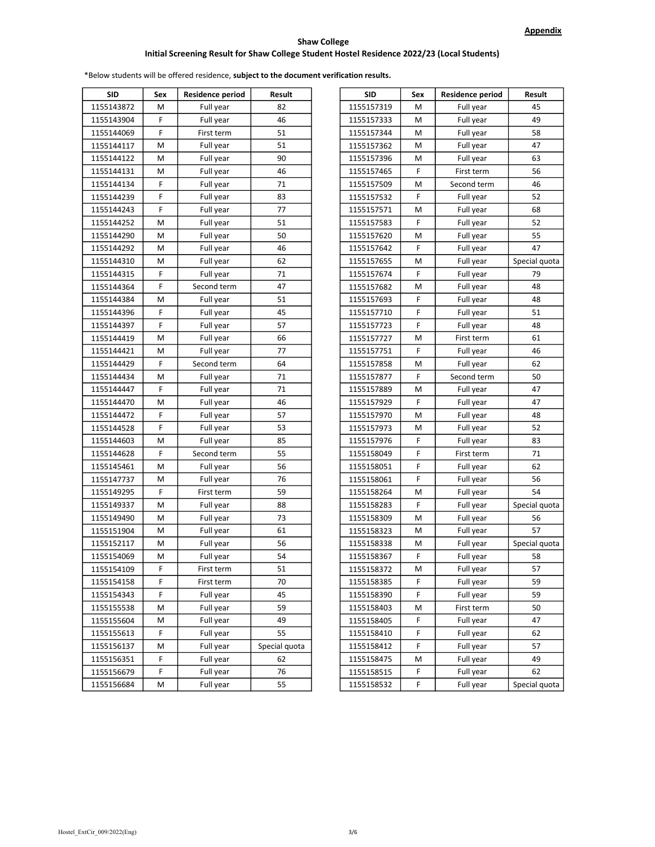# Initial Screening Result for Shaw College Student Hostel Residence 2022/23 (Local Students) Shaw College

| <b>SID</b> | Sex | <b>Residence period</b> | Result        | <b>SID</b> | Sex | <b>Residence period</b> | Result        |
|------------|-----|-------------------------|---------------|------------|-----|-------------------------|---------------|
| 1155143872 | м   | Full year               | 82            | 1155157319 | М   | Full year               | 45            |
| 1155143904 | F   | Full year               | 46            | 1155157333 | м   | Full year               | 49            |
| 1155144069 | F   | First term              | 51            | 1155157344 | м   | Full year               | 58            |
| 1155144117 | М   | Full year               | 51            | 1155157362 | м   | Full year               | 47            |
| 1155144122 | М   | Full year               | 90            | 1155157396 | M   | Full year               | 63            |
| 1155144131 | М   | Full year               | 46            | 1155157465 | F   | First term              | 56            |
| 1155144134 | F   | Full year               | 71            | 1155157509 | M   | Second term             | 46            |
| 1155144239 | F   | Full year               | 83            | 1155157532 | F   | Full year               | 52            |
| 1155144243 | F   | Full year               | 77            | 1155157571 | M   | Full year               | 68            |
| 1155144252 | М   | Full year               | 51            | 1155157583 | F   | Full year               | 52            |
| 1155144290 | М   | Full year               | 50            | 1155157620 | M   | Full year               | 55            |
| 1155144292 | М   | Full year               | 46            | 1155157642 | F   | Full year               | 47            |
| 1155144310 | М   | Full year               | 62            | 1155157655 | M   | Full year               | Special quota |
| 1155144315 | F   | Full year               | 71            | 1155157674 | F   | Full year               | 79            |
| 1155144364 | F   | Second term             | 47            | 1155157682 | M   | Full year               | 48            |
| 1155144384 | М   | Full year               | 51            | 1155157693 | F   | Full year               | 48            |
| 1155144396 | F   | Full year               | 45            | 1155157710 | F   | Full year               | 51            |
| 1155144397 | F   | Full year               | 57            | 1155157723 | F   | Full year               | 48            |
| 1155144419 | М   | Full year               | 66            | 1155157727 | M   | First term              | 61            |
| 1155144421 | М   | Full year               | 77            | 1155157751 | F   | Full year               | 46            |
| 1155144429 | F   | Second term             | 64            | 1155157858 | M   | Full year               | 62            |
| 1155144434 | М   | Full year               | 71            | 1155157877 | F   | Second term             | 50            |
| 1155144447 | F   | Full year               | 71            | 1155157889 | M   | Full year               | 47            |
| 1155144470 | М   | Full year               | 46            | 1155157929 | F   | Full year               | 47            |
| 1155144472 | F   | Full year               | 57            | 1155157970 | M   | Full year               | 48            |
| 1155144528 | F   | Full year               | 53            | 1155157973 | M   | Full year               | 52            |
| 1155144603 | М   | Full year               | 85            | 1155157976 | F   | Full year               | 83            |
| 1155144628 | F   | Second term             | 55            | 1155158049 | F   | First term              | 71            |
| 1155145461 | М   | Full year               | 56            | 1155158051 | F   | Full year               | 62            |
| 1155147737 | М   | Full year               | 76            | 1155158061 | F   | Full year               | 56            |
| 1155149295 | F   | First term              | 59            | 1155158264 | M   | Full year               | 54            |
| 1155149337 | М   | Full year               | 88            | 1155158283 | F   | Full year               | Special quota |
| 1155149490 | М   | Full year               | 73            | 1155158309 | M   | Full year               | 56            |
| 1155151904 | м   | Full year               | 61            | 1155158323 | М   | Full year               | 57            |
| 1155152117 | М   | Full year               | 56            | 1155158338 | M   | Full year               | Special quota |
| 1155154069 | М   | Full year               | 54            | 1155158367 | F   | Full year               | 58            |
| 1155154109 | F   | First term              | 51            | 1155158372 | М   | Full year               | 57            |
| 1155154158 | F   | First term              | 70            | 1155158385 | F   | Full year               | 59            |
| 1155154343 | F   | Full year               | 45            | 1155158390 | F   | Full year               | 59            |
| 1155155538 | М   | Full year               | 59            | 1155158403 | М   | First term              | 50            |
| 1155155604 | М   | Full year               | 49            | 1155158405 | F   | Full year               | 47            |
| 1155155613 | F   | Full year               | 55            | 1155158410 | F   | Full year               | 62            |
| 1155156137 | М   | Full year               | Special quota | 1155158412 | F   | Full year               | 57            |
| 1155156351 | F   | Full year               | 62            | 1155158475 | М   | Full year               | 49            |
| 1155156679 | F   | Full year               | 76            | 1155158515 | F   | Full year               | 62            |
| 1155156684 | М   | Full year               | 55            | 1155158532 | F   | Full year               | Special quota |

| SID     | Sex | <b>Residence period</b> | Result        | <b>SID</b> | Sex | <b>Residence period</b> | Result        |
|---------|-----|-------------------------|---------------|------------|-----|-------------------------|---------------|
| 143872، | М   | Full year               | 82            | 1155157319 | М   | Full year               | 45            |
| 143904ء | F   | Full year               | 46            | 1155157333 | М   | Full year               | 49            |
| 144069ء | F   | First term              | 51            | 1155157344 | М   | Full year               | 58            |
| 144117ء | M   | Full year               | 51            | 1155157362 | M   | Full year               | 47            |
| 144122ء | M   | Full year               | 90            | 1155157396 | M   | Full year               | 63            |
| 144131، | M   | Full year               | 46            | 1155157465 | F   | First term              | 56            |
| 144134ء | F   | Full year               | 71            | 1155157509 | M   | Second term             | 46            |
| 144239ء | F   | Full year               | 83            | 1155157532 | F   | Full year               | 52            |
| 144243ء | F   | Full year               | 77            | 1155157571 | M   | Full year               | 68            |
| 144252  | M   | Full year               | 51            | 1155157583 | F   | Full year               | 52            |
| 144290ء | M   | Full year               | 50            | 1155157620 | М   | Full year               | 55            |
| 144292ۃ | M   | Full year               | 46            | 1155157642 | F   | Full year               | 47            |
| 144310ء | M   | Full year               | 62            | 1155157655 | М   | Full year               | Special quota |
| 144315  | F   | Full year               | 71            | 1155157674 | F   | Full year               | 79            |
| 144364ء | F   | Second term             | 47            | 1155157682 | M   | Full year               | 48            |
| 144384ء | M   | Full year               | 51            | 1155157693 | F   | Full year               | 48            |
| 144396ء | F   | Full year               | 45            | 1155157710 | F   | Full year               | 51            |
| 144397ء | F   | Full year               | 57            | 1155157723 | F   | Full year               | 48            |
| 144419ء | M   | Full year               | 66            | 1155157727 | М   | First term              | 61            |
| 144421، | M   | Full year               | 77            | 1155157751 | F   | Full year               | 46            |
| 144429ء | F   | Second term             | 64            | 1155157858 | M   | Full year               | 62            |
| 144434ء | M   | Full year               | 71            | 1155157877 | F   | Second term             | 50            |
| 144447ء | F   | Full year               | 71            | 1155157889 | М   | Full year               | 47            |
| 144470ء | M   | Full year               | 46            | 1155157929 | F   | Full year               | 47            |
| 144472ء | F   | Full year               | 57            | 1155157970 | M   | Full year               | 48            |
| 144528ء | F   | Full year               | 53            | 1155157973 | M   | Full year               | 52            |
| 144603\ | M   | Full year               | 85            | 1155157976 | F   | Full year               | 83            |
| 144628ء | F   | Second term             | 55            | 1155158049 | F   | First term              | 71            |
| 145461، | M   | Full year               | 56            | 1155158051 | F   | Full year               | 62            |
| 147737ء | M   | Full year               | 76            | 1155158061 | F   | Full year               | 56            |
| 149295ۃ | F   | First term              | 59            | 1155158264 | М   | Full year               | 54            |
| 149337ء | M   | Full year               | 88            | 1155158283 | F   | Full year               | Special quota |
| 149490ء | M   | Full year               | 73            | 1155158309 | M   | Full year               | 56            |
| 151904ء | M   | Full year               | 61            | 1155158323 | M   | Full year               | 57            |
| 152117  | M   | Full year               | 56            | 1155158338 | M   | Full year               | Special quota |
| 154069، | м   | Full year               | 54            | 1155158367 | F   | Full year               | 58            |
| 154109ء | F   | First term              | 51            | 1155158372 | M   | Full year               | 57            |
| 154158  | F   | First term              | 70            | 1155158385 | F   | Full year               | 59            |
| 154343  | F   | Full year               | 45            | 1155158390 | F   | Full year               | 59            |
| 155538  | M   | Full year               | 59            | 1155158403 | M   | First term              | 50            |
| 155604  | M   | Full year               | 49            | 1155158405 | F   | Full year               | 47            |
| 155613  | F   | Full year               | 55            | 1155158410 | F   | Full year               | 62            |
| 156137  | M   | Full year               | Special quota | 1155158412 | F   | Full year               | 57            |
| 156351  | F   | Full year               | 62            | 1155158475 | M   | Full year               | 49            |
| 156679، | F   | Full year               | 76            | 1155158515 | F   | Full year               | 62            |
| 156684  | M   | Full year               | 55            | 1155158532 | F   | Full year               | Special quota |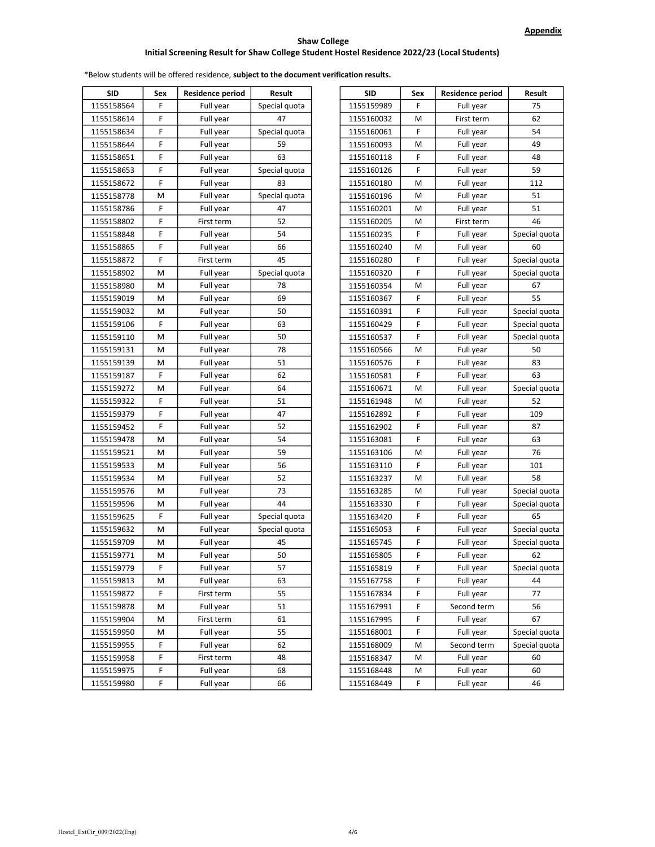| <b>SID</b> | Sex | Residence period | Result        | SID        | Sex | Residence period | Result        |
|------------|-----|------------------|---------------|------------|-----|------------------|---------------|
| 1155158564 | F   | Full year        | Special quota | 1155159989 | F   | Full year        | 75            |
| 1155158614 | F   | Full year        | 47            | 1155160032 | M   | First term       | 62            |
| 1155158634 | F   | Full year        | Special quota | 1155160061 | F   | Full year        | 54            |
| 1155158644 | F   | Full year        | 59            | 1155160093 | M   | Full year        | 49            |
| 1155158651 | F   | Full year        | 63            | 1155160118 | F   | Full year        | 48            |
| 1155158653 | F   | Full year        | Special quota | 1155160126 | F   | Full year        | 59            |
| 1155158672 | F   | Full year        | 83            | 1155160180 | M   | Full year        | 112           |
| 1155158778 | М   | Full year        | Special quota | 1155160196 | M   | Full year        | 51            |
| 1155158786 | F   | Full year        | 47            | 1155160201 | M   | Full year        | 51            |
| 1155158802 | F   | First term       | 52            | 1155160205 | M   | First term       | 46            |
| 1155158848 | F   | Full year        | 54            | 1155160235 | F   | Full year        | Special quota |
| 1155158865 | F   | Full year        | 66            | 1155160240 | M   | Full year        | 60            |
| 1155158872 | F   | First term       | 45            | 1155160280 | F   | Full year        | Special quota |
| 1155158902 | М   | Full year        | Special quota | 1155160320 | F   | Full year        | Special quota |
| 1155158980 | М   | Full year        | 78            | 1155160354 | M   | Full year        | 67            |
| 1155159019 | М   | Full year        | 69            | 1155160367 | F   | Full year        | 55            |
| 1155159032 | М   | Full year        | 50            | 1155160391 | F   | Full year        | Special quota |
| 1155159106 | F   | Full year        | 63            | 1155160429 | F   | Full year        | Special quota |
| 1155159110 | М   | Full year        | 50            | 1155160537 | F   | Full year        | Special quota |
| 1155159131 | М   | Full year        | 78            | 1155160566 | M   | Full year        | 50            |
| 1155159139 | М   | Full year        | 51            | 1155160576 | F   | Full year        | 83            |
| 1155159187 | F   | Full year        | 62            | 1155160581 | F   | Full year        | 63            |
| 1155159272 | М   | Full year        | 64            | 1155160671 | M   | Full year        | Special quota |
| 1155159322 | F   | Full year        | 51            | 1155161948 | M   | Full year        | 52            |
| 1155159379 | F   | Full year        | 47            | 1155162892 | F   | Full year        | 109           |
| 1155159452 | F   | Full year        | 52            | 1155162902 | F   | Full year        | 87            |
| 1155159478 | М   | Full year        | 54            | 1155163081 | F   | Full year        | 63            |
| 1155159521 | М   | Full year        | 59            | 1155163106 | M   | Full year        | 76            |
| 1155159533 | М   | Full year        | 56            | 1155163110 | F   | Full year        | 101           |
| 1155159534 | М   | Full year        | 52            | 1155163237 | M   | Full year        | 58            |
| 1155159576 | М   | Full year        | 73            | 1155163285 | M   | Full year        | Special quota |
| 1155159596 | М   | Full year        | 44            | 1155163330 | F   | Full year        | Special quota |
| 1155159625 | F   | Full year        | Special quota | 1155163420 | F   | Full year        | 65            |
| 1155159632 | М   | Full year        | Special quota | 1155165053 | F   | Full year        | Special quota |
| 1155159709 | М   | Full year        | 45            | 1155165745 | F   | Full year        | Special quota |
| 1155159771 | М   | Full year        | 50            | 1155165805 | F   | Full year        | 62            |
| 1155159779 | F   | Full year        | 57            | 1155165819 | F   | Full year        | Special quota |
| 1155159813 | Μ   | Full year        | 63            | 1155167758 | F   | Full year        | 44            |
| 1155159872 | F   | First term       | 55            | 1155167834 | F   | Full year        | 77            |
| 1155159878 | М   | Full year        | 51            | 1155167991 | F   | Second term      | 56            |
| 1155159904 | М   | First term       | 61            | 1155167995 | F   | Full year        | 67            |
| 1155159950 | м   | Full year        | 55            | 1155168001 | F   | Full year        | Special quota |
| 1155159955 | F   | Full year        | 62            | 1155168009 | М   | Second term      | Special quota |
| 1155159958 | F   | First term       | 48            | 1155168347 | М   | Full year        | 60            |
| 1155159975 | F   | Full year        | 68            | 1155168448 | М   | Full year        | 60            |
| 1155159980 | F   | Full year        | 66            | 1155168449 | F   | Full vear        | 46            |
|            |     |                  |               |            |     |                  |               |

| <b>SID</b> | Sex | <b>Residence period</b> | Result        | <b>SID</b> | Sex | <b>Residence period</b> | Result        |
|------------|-----|-------------------------|---------------|------------|-----|-------------------------|---------------|
| 1155158564 | F   | Full year               | Special quota | 1155159989 | F.  | Full year               | 75            |
| 1155158614 | F   | Full year               | 47            | 1155160032 | М   | First term              | 62            |
| 1155158634 | F   | Full year               | Special quota | 1155160061 | F   | Full year               | 54            |
| 1155158644 | F   | Full year               | 59            | 1155160093 | М   | Full year               | 49            |
| 1155158651 | F   | Full year               | 63            | 1155160118 | F   | Full year               | 48            |
| 1155158653 | F   | Full year               | Special quota | 1155160126 | F   | Full year               | 59            |
| 1155158672 | F   | Full year               | 83            | 1155160180 | М   | Full year               | 112           |
| 1155158778 | М   | Full year               | Special quota | 1155160196 | М   | Full year               | 51            |
| 1155158786 | F   | Full year               | 47            | 1155160201 | М   | Full year               | 51            |
| 1155158802 | F   | First term              | 52            | 1155160205 | М   | First term              | 46            |
| 1155158848 | F   | Full year               | 54            | 1155160235 | F   | Full year               | Special quota |
| 1155158865 | F   | Full year               | 66            | 1155160240 | М   | Full year               | 60            |
| 1155158872 | F   | First term              | 45            | 1155160280 | F   | Full year               | Special quota |
| 1155158902 | М   | Full year               | Special quota | 1155160320 | F   | Full year               | Special quota |
| 1155158980 | М   | Full year               | 78            | 1155160354 | М   | Full year               | 67            |
| 1155159019 | М   | Full year               | 69            | 1155160367 | F   | Full year               | 55            |
| 1155159032 | М   | Full year               | 50            | 1155160391 | F   | Full year               | Special quota |
| 1155159106 | F   | Full year               | 63            | 1155160429 | F   | Full year               | Special quota |
| 1155159110 | М   | Full year               | 50            | 1155160537 | F   | Full year               | Special quota |
| 1155159131 | М   | Full year               | 78            | 1155160566 | М   | Full year               | 50            |
| 1155159139 | М   | Full year               | 51            | 1155160576 | F   | Full year               | 83            |
| 1155159187 | F   | Full year               | 62            | 1155160581 | F   | Full year               | 63            |
| 1155159272 | М   | Full year               | 64            | 1155160671 | М   | Full year               | Special quota |
| 1155159322 | F   | Full year               | 51            | 1155161948 | М   | Full year               | 52            |
| 1155159379 | F   | Full year               | 47            | 1155162892 | F   | Full year               | 109           |
| 1155159452 | F   | Full year               | 52            | 1155162902 | F   | Full year               | 87            |
| 1155159478 | М   | Full year               | 54            | 1155163081 | F   | Full year               | 63            |
| 1155159521 | М   | Full year               | 59            | 1155163106 | М   | Full year               | 76            |
| 1155159533 | М   | Full year               | 56            | 1155163110 | F   | Full year               | 101           |
| 1155159534 | М   | Full year               | 52            | 1155163237 | М   | Full year               | 58            |
| 1155159576 | М   | Full year               | 73            | 1155163285 | М   | Full year               | Special quota |
| 1155159596 | М   | Full year               | 44            | 1155163330 | F   | Full year               | Special quota |
| 1155159625 | F   | Full year               | Special quota | 1155163420 | F   | Full year               | 65            |
| 1155159632 | М   | Full year               | Special quota | 1155165053 | F   | Full year               | Special quota |
| 1155159709 | М   | Full year               | 45            | 1155165745 | F   | Full year               | Special quota |
| 1155159771 | M   | Full year               | 50            | 1155165805 | F   | Full year               | 62            |
| 1155159779 | F   | Full year               | 57            | 1155165819 | F   | Full year               | Special quota |
| 1155159813 | M   | Full year               | 63            | 1155167758 | F   | Full year               | 44            |
| 1155159872 | F   | First term              | 55            | 1155167834 | F   | Full year               | 77            |
| 1155159878 | М   | Full year               | 51            | 1155167991 | F   | Second term             | 56            |
| 1155159904 | М   | First term              | 61            | 1155167995 | F   | Full year               | 67            |
| 1155159950 | М   | Full year               | 55            | 1155168001 | F   | Full year               | Special quota |
| 1155159955 | F   | Full year               | 62            | 1155168009 | M   | Second term             | Special quota |
| 1155159958 | F   | First term              | 48            | 1155168347 | M   | Full year               | 60            |
| 1155159975 | F   | Full year               | 68            | 1155168448 | M   | Full year               | 60            |
| 1155159980 | F   | Full year               | 66            | 1155168449 | F   | Full year               | 46            |
|            |     |                         |               |            |     |                         |               |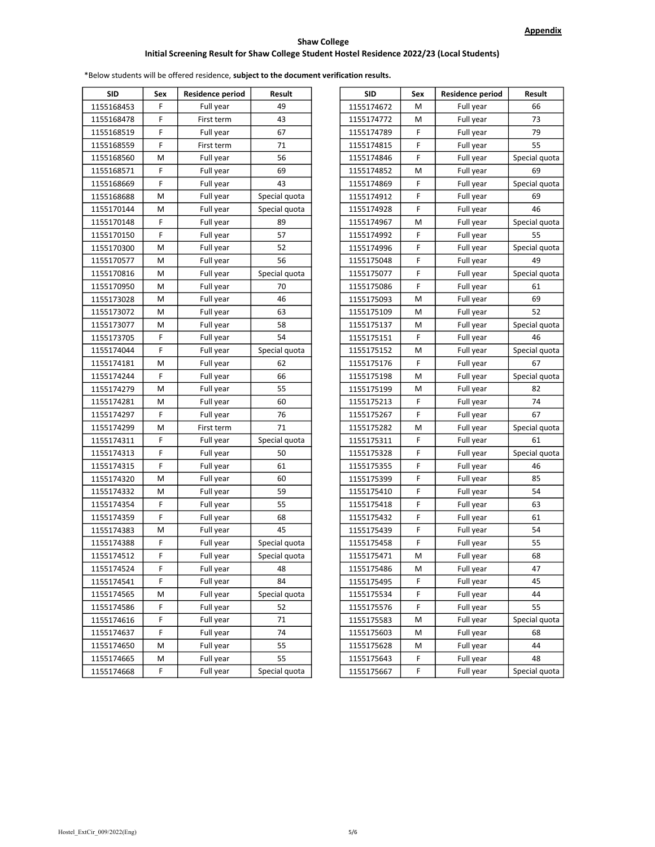| <b>SID</b> | Sex | <b>Residence period</b> | Result        | <b>SID</b> | Sex | Residence period |               |
|------------|-----|-------------------------|---------------|------------|-----|------------------|---------------|
| 1155168453 | F   | Full year               | 49            | 1155174672 | M   | Full year        |               |
| 1155168478 | F   | First term              | 43            | 1155174772 | M   | Full year        |               |
| 1155168519 | F   | Full year               | 67            | 1155174789 | F   | Full year        |               |
| 1155168559 | F   | First term              | 71            | 1155174815 | F   | Full year        |               |
| 1155168560 | М   | Full year               | 56            | 1155174846 | F   | Full year        | Special quota |
| 1155168571 | F   | Full year               | 69            | 1155174852 | M   | Full year        |               |
| 1155168669 | F   | Full year               | 43            | 1155174869 | F   | Full year        | Special quota |
| 1155168688 | М   | Full year               | Special quota | 1155174912 | F   | Full year        |               |
| 1155170144 | М   | Full year               | Special quota | 1155174928 | F   | Full year        |               |
| 1155170148 | F   | Full year               | 89            | 1155174967 | M   | Full year        | Special quota |
| 1155170150 | F   | Full year               | 57            | 1155174992 | F   | Full year        |               |
| 1155170300 | М   | Full year               | 52            | 1155174996 | F   | Full year        | Special quota |
| 1155170577 | М   | Full year               | 56            | 1155175048 | F   | Full year        |               |
| 1155170816 | М   | Full year               | Special quota | 1155175077 | F   | Full year        | Special quota |
| 1155170950 | М   | Full year               | 70            | 1155175086 | F   | Full year        |               |
| 1155173028 | М   | Full year               | 46            | 1155175093 | M   | Full year        |               |
| 1155173072 | М   | Full year               | 63            | 1155175109 | M   | Full year        |               |
| 1155173077 | М   | Full year               | 58            | 1155175137 | M   | Full year        | Special quota |
| 1155173705 | F   | Full year               | 54            | 1155175151 | F   | Full year        |               |
| 1155174044 | F   | Full year               | Special quota | 1155175152 | M   | Full year        | Special quota |
| 1155174181 | М   | Full year               | 62            | 1155175176 | F   | Full year        |               |
| 1155174244 | F   | Full year               | 66            | 1155175198 | M   | Full year        | Special quota |
| 1155174279 | М   | Full year               | 55            | 1155175199 | M   | Full year        |               |
| 1155174281 | М   | Full year               | 60            | 1155175213 | F   | Full year        |               |
| 1155174297 | F   | Full year               | 76            | 1155175267 | F   | Full year        |               |
| 1155174299 | М   | First term              | 71            | 1155175282 | M   | Full year        | Special quota |
| 1155174311 | F   | Full year               | Special quota | 1155175311 | F   | Full year        |               |
| 1155174313 | F   | Full year               | 50            | 1155175328 | F   | Full year        | Special quota |
| 1155174315 | F   | Full year               | 61            | 1155175355 | F   | Full year        |               |
| 1155174320 | М   | Full year               | 60            | 1155175399 | F   | Full year        |               |
| 1155174332 | М   | Full year               | 59            | 1155175410 | F   | Full year        |               |
| 1155174354 | F   | Full year               | 55            | 1155175418 | F   | Full year        |               |
| 1155174359 | F   | Full year               | 68            | 1155175432 | F   | Full year        |               |
| 1155174383 | М   | Full year               | 45            | 1155175439 | F   | Full year        |               |
| 1155174388 | F   | Full year               | Special quota | 1155175458 | F   | Full year        |               |
| 1155174512 | F   | Full year               | Special quota | 1155175471 | М   | Full year        |               |
| 1155174524 | F   | Full year               | 48            | 1155175486 | M   | Full year        |               |
| 1155174541 | F   | Full year               | 84            | 1155175495 | F   | Full year        |               |
| 1155174565 | М   | Full year               | Special quota | 1155175534 | F   | Full year        |               |
| 1155174586 | F   | Full year               | 52            | 1155175576 | F   | Full year        |               |
| 1155174616 | F   | Full year               | 71            | 1155175583 | M   | Full year        | Special quota |
| 1155174637 | F   | Full year               | 74            | 1155175603 | M   | Full year        |               |
| 1155174650 | М   | Full year               | 55            | 1155175628 | M   | Full year        |               |
| 1155174665 | М   | Full year               | 55            | 1155175643 | F   | Full year        |               |
| 1155174668 | F   | Full year               | Special quota | 1155175667 | F   | Full year        | Special quota |

| SID     | Sex | <b>Residence period</b> | Result        | <b>SID</b> | Sex | <b>Residence period</b> | Result        |
|---------|-----|-------------------------|---------------|------------|-----|-------------------------|---------------|
| 168453  | F   | Full year               | 49            | 1155174672 | M   | Full year               | 66            |
| 168478ء | F   | First term              | 43            | 1155174772 | М   | Full year               | 73            |
| 168519  | F   | Full year               | 67            | 1155174789 | F   | Full year               | 79            |
| 168559ء | F   | First term              | 71            | 1155174815 | F   | Full year               | 55            |
| 168560ء | M   | Full year               | 56            | 1155174846 | F   | Full year               | Special quota |
| 168571، | F   | Full year               | 69            | 1155174852 | M   | Full year               | 69            |
| 168669ۃ | F   | Full year               | 43            | 1155174869 | F   | Full year               | Special quota |
| 168688  | M   | Full year               | Special quota | 1155174912 | F   | Full year               | 69            |
| 170144ء | M   | Full year               | Special quota | 1155174928 | F   | Full year               | 46            |
| 170148  | F   | Full year               | 89            | 1155174967 | M   | Full year               | Special quota |
| 170150ء | F   | Full year               | 57            | 1155174992 | F   | Full year               | 55            |
| 170300، | M   | Full year               | 52            | 1155174996 | F   | Full year               | Special quota |
| 170577، | М   | Full year               | 56            | 1155175048 | F   | Full year               | 49            |
| 170816  | М   | Full year               | Special quota | 1155175077 | F   | Full year               | Special quota |
| 170950، | М   | Full year               | 70            | 1155175086 | F   | Full year               | 61            |
| 173028  | М   | Full year               | 46            | 1155175093 | M   | Full year               | 69            |
| 173072، | М   | Full year               | 63            | 1155175109 | M   | Full year               | 52            |
| 173077، | M   | Full year               | 58            | 1155175137 | М   | Full year               | Special quota |
| 173705، | F   | Full year               | 54            | 1155175151 | F   | Full year               | 46            |
| 174044ء | F   | Full year               | Special quota | 1155175152 | M   | Full year               | Special quota |
| 174181  | M   | Full year               | 62            | 1155175176 | F   | Full year               | 67            |
| 174244  | F   | Full year               | 66            | 1155175198 | M   | Full year               | Special quota |
| 174279ء | M   | Full year               | 55            | 1155175199 | M   | Full year               | 82            |
| 174281، | м   | Full year               | 60            | 1155175213 | F   | Full year               | 74            |
| 174297ء | F   | Full year               | 76            | 1155175267 | F   | Full year               | 67            |
| 174299ء | M   | First term              | 71            | 1155175282 | M   | Full year               | Special quota |
| 174311، | F   | Full year               | Special quota | 1155175311 | F   | Full year               | 61            |
| 174313، | F   | Full year               | 50            | 1155175328 | F   | Full year               | Special quota |
| 174315  | F   | Full year               | 61            | 1155175355 | F   | Full year               | 46            |
| 174320  | м   | Full year               | 60            | 1155175399 | F   | Full year               | 85            |
| 174332، | м   | Full year               | 59            | 1155175410 | F   | Full year               | 54            |
| 174354، | F   | Full year               | 55            | 1155175418 | F   | Full year               | 63            |
| 174359ء | F   | Full year               | 68            | 1155175432 | F   | Full year               | 61            |
| 174383، | M   | Full year               | 45            | 1155175439 | F   | Full year               | 54            |
| 174388  | F   | Full year               | Special quota | 1155175458 | F   | Full year               | 55            |
| 174512  | F   | Full year               | Special quota | 1155175471 | М   | Full year               | 68            |
| 174524ء | F   | Full year               | 48            | 1155175486 | M   | Full year               | 47            |
| 174541  | F   | Full year               | 84            | 1155175495 | F   | Full year               | 45            |
| 174565  | M   | Full year               | Special quota | 1155175534 | F   | Full year               | 44            |
| 174586  | F   | Full year               | 52            | 1155175576 | F   | Full year               | 55            |
| 174616  | F   | Full year               | 71            | 1155175583 | M   | Full year               | Special quota |
| 174637، | F   | Full year               | 74            | 1155175603 | M   | Full year               | 68            |
| 174650، | M   | Full year               | 55            | 1155175628 | M   | Full year               | 44            |
| 174665، | M   | Full year               | 55            | 1155175643 | F   | Full year               | 48            |
| 174668  | F   | Full vear               | Special quota | 1155175667 | F   | Full year               | Special quota |